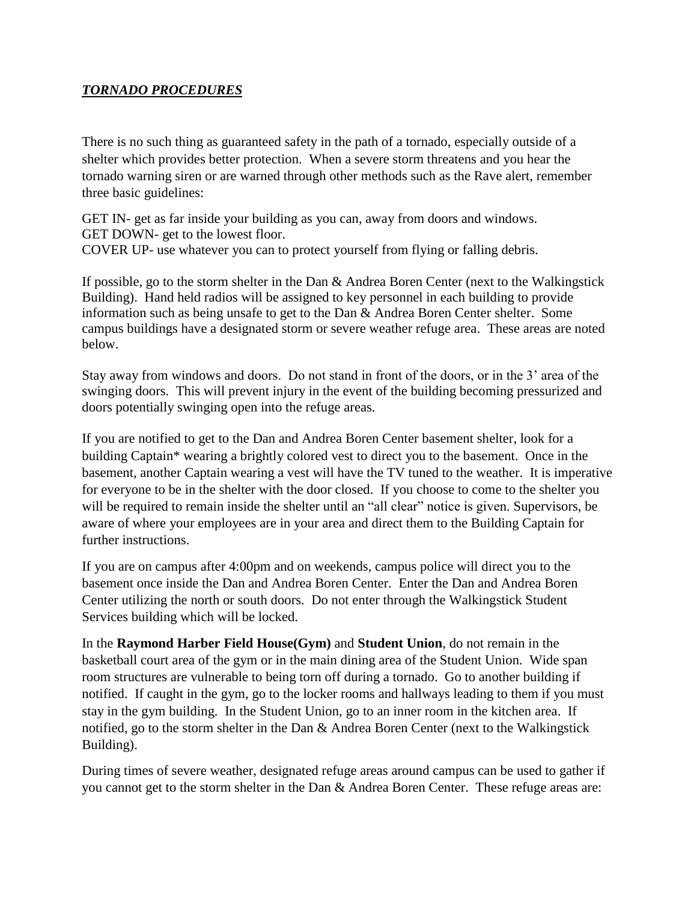## *TORNADO PROCEDURES*

There is no such thing as guaranteed safety in the path of a tornado, especially outside of a shelter which provides better protection. When a severe storm threatens and you hear the tornado warning siren or are warned through other methods such as the Rave alert, remember three basic guidelines:

GET IN- get as far inside your building as you can, away from doors and windows. GET DOWN- get to the lowest floor. COVER UP- use whatever you can to protect yourself from flying or falling debris.

If possible, go to the storm shelter in the Dan & Andrea Boren Center (next to the Walkingstick Building). Hand held radios will be assigned to key personnel in each building to provide information such as being unsafe to get to the Dan & Andrea Boren Center shelter. Some campus buildings have a designated storm or severe weather refuge area. These areas are noted below.

Stay away from windows and doors. Do not stand in front of the doors, or in the 3' area of the swinging doors. This will prevent injury in the event of the building becoming pressurized and doors potentially swinging open into the refuge areas.

If you are notified to get to the Dan and Andrea Boren Center basement shelter, look for a building Captain\* wearing a brightly colored vest to direct you to the basement. Once in the basement, another Captain wearing a vest will have the TV tuned to the weather. It is imperative for everyone to be in the shelter with the door closed. If you choose to come to the shelter you will be required to remain inside the shelter until an "all clear" notice is given. Supervisors, be aware of where your employees are in your area and direct them to the Building Captain for further instructions.

If you are on campus after 4:00pm and on weekends, campus police will direct you to the basement once inside the Dan and Andrea Boren Center. Enter the Dan and Andrea Boren Center utilizing the north or south doors. Do not enter through the Walkingstick Student Services building which will be locked.

In the **Raymond Harber Field House(Gym)** and **Student Union**, do not remain in the basketball court area of the gym or in the main dining area of the Student Union. Wide span room structures are vulnerable to being torn off during a tornado. Go to another building if notified. If caught in the gym, go to the locker rooms and hallways leading to them if you must stay in the gym building. In the Student Union, go to an inner room in the kitchen area. If notified, go to the storm shelter in the Dan & Andrea Boren Center (next to the Walkingstick Building).

During times of severe weather, designated refuge areas around campus can be used to gather if you cannot get to the storm shelter in the Dan & Andrea Boren Center. These refuge areas are: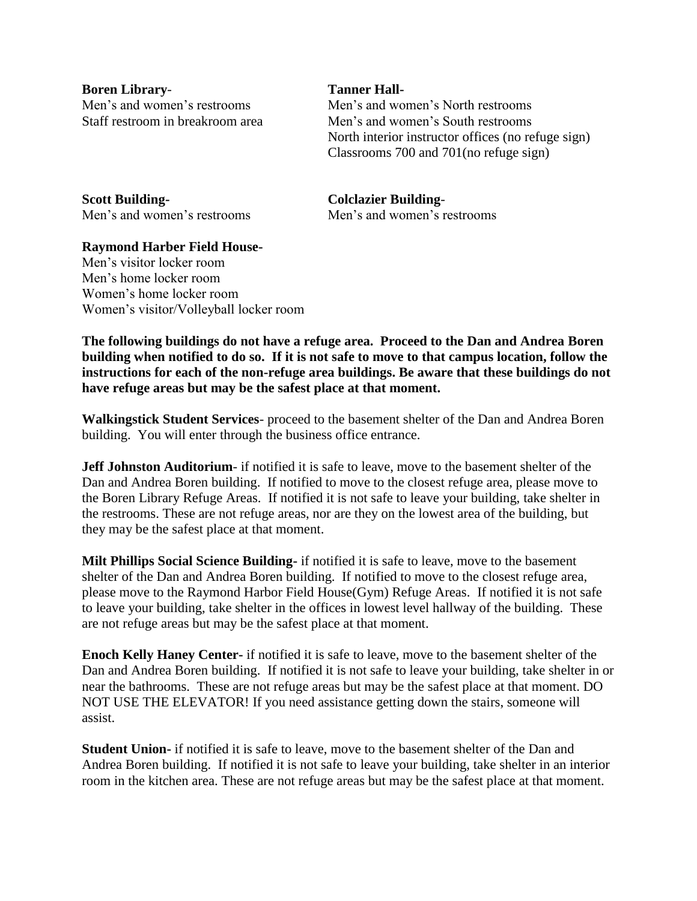**Boren Library**- **Tanner Hall-**

Men's and women's restrooms Men's and women's North restrooms Staff restroom in breakroom area Men's and women's South restrooms North interior instructor offices (no refuge sign) Classrooms 700 and 701(no refuge sign)

**Scott Building- Colclazier Building**-Men's and women's restrooms Men's and women's restrooms

**Raymond Harber Field House-**Men's visitor locker room Men's home locker room Women's home locker room Women's visitor/Volleyball locker room

**The following buildings do not have a refuge area. Proceed to the Dan and Andrea Boren building when notified to do so. If it is not safe to move to that campus location, follow the instructions for each of the non-refuge area buildings. Be aware that these buildings do not have refuge areas but may be the safest place at that moment.**

**Walkingstick Student Services**- proceed to the basement shelter of the Dan and Andrea Boren building. You will enter through the business office entrance.

**Jeff Johnston Auditorium**- if notified it is safe to leave, move to the basement shelter of the Dan and Andrea Boren building. If notified to move to the closest refuge area, please move to the Boren Library Refuge Areas. If notified it is not safe to leave your building, take shelter in the restrooms. These are not refuge areas, nor are they on the lowest area of the building, but they may be the safest place at that moment.

**Milt Phillips Social Science Building-** if notified it is safe to leave, move to the basement shelter of the Dan and Andrea Boren building. If notified to move to the closest refuge area, please move to the Raymond Harbor Field House(Gym) Refuge Areas. If notified it is not safe to leave your building, take shelter in the offices in lowest level hallway of the building. These are not refuge areas but may be the safest place at that moment.

**Enoch Kelly Haney Center-** if notified it is safe to leave, move to the basement shelter of the Dan and Andrea Boren building. If notified it is not safe to leave your building, take shelter in or near the bathrooms. These are not refuge areas but may be the safest place at that moment. DO NOT USE THE ELEVATOR! If you need assistance getting down the stairs, someone will assist.

**Student Union-** if notified it is safe to leave, move to the basement shelter of the Dan and Andrea Boren building. If notified it is not safe to leave your building, take shelter in an interior room in the kitchen area. These are not refuge areas but may be the safest place at that moment.